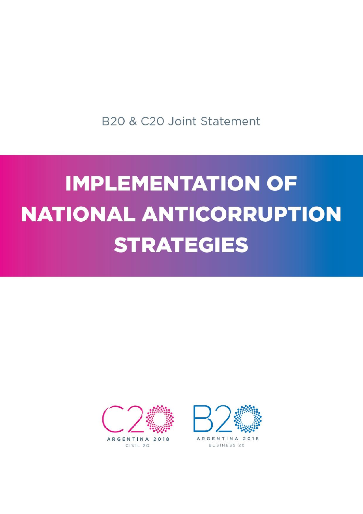B20 & C20 Joint Statement

## **IMPLEMENTATION OF NATIONAL ANTICORRUPTION STRATEGIES**